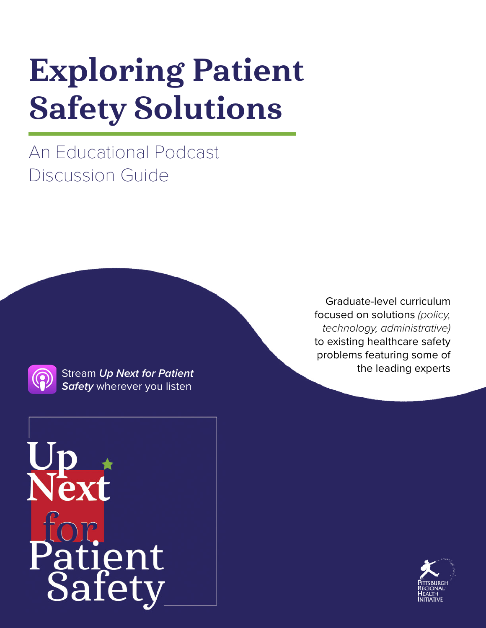# Exploring Patient Safety Solutions

An Educational Podcast Discussion Guide



*[Safety](https://npsb.org/podcast/)* wherever you listen

Graduate-level curriculum focused on solutions *(policy, technology, administrative)* to existing healthcare safety problems featuring some of the leading experts Stream *[Up Next for Patient](https://npsb.org/podcast/)* 



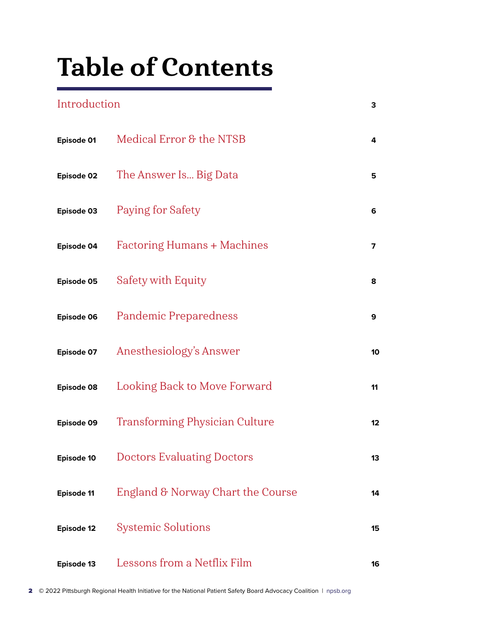# Table of Contents

# [Introduction](#page-2-0) **3 Episode 01** [Medical Error & the NTSB](#page-3-0) **<sup>4</sup> Episode 02** [The Answer Is... Big Data](#page-4-0) **<sup>5</sup> Episode 03** [Paying for Safety](#page-5-0) **<sup>6</sup> Episode 04** [Factoring Humans + Machines](#page-6-0) **<sup>7</sup> Episode 05** [Safety with Equity](#page-7-0) **<sup>8</sup> Episode 06** [Pandemic Preparedness](#page-8-0) **<sup>9</sup> Episode 07** [Anesthesiology's Answer](#page-9-0) **<sup>10</sup> Episode 08** [Looking Back to Move Forward](#page-10-0) **<sup>11</sup> Episode 09** [Transforming Physician Culture](#page-11-0) **<sup>12</sup> Episode 10** [Doctors Evaluating Doctors](#page-12-0) **<sup>13</sup> Episode 11** [England & Norway Chart the Course](#page-13-0) **<sup>14</sup> [Episode 12](#page-14-0)** Systemic Solutions **<sup>15</sup> [Episode 13](#page-15-0)** Lessons from a Netflix Film **<sup>16</sup>**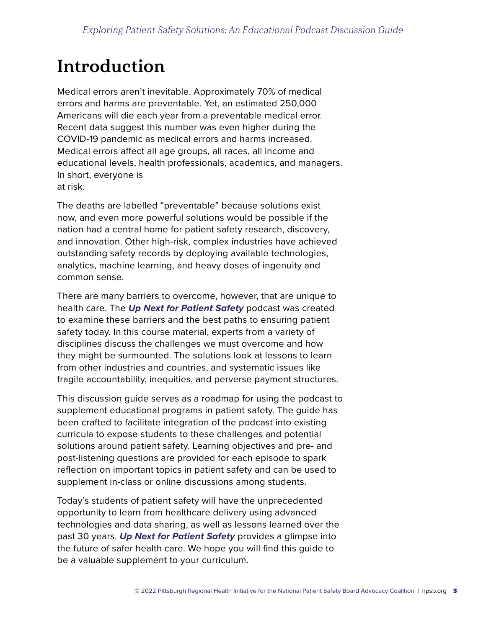# <span id="page-2-0"></span>Introduction

Medical errors aren't inevitable. Approximately 70% of medical errors and harms are preventable. Yet, an estimated 250,000 Americans will die each year from a preventable medical error. Recent data suggest this number was even higher during the COVID-19 pandemic as medical errors and harms increased. Medical errors affect all age groups, all races, all income and educational levels, health professionals, academics, and managers. In short, everyone is at risk.

The deaths are labelled "preventable" because solutions exist now, and even more powerful solutions would be possible if the nation had a central home for patient safety research, discovery, and innovation. Other high-risk, complex industries have achieved outstanding safety records by deploying available technologies, analytics, machine learning, and heavy doses of ingenuity and common sense.

There are many barriers to overcome, however, that are unique to health care. The *Up Next for Patient Safety* podcast was created to examine these barriers and the best paths to ensuring patient safety today. In this course material, experts from a variety of disciplines discuss the challenges we must overcome and how they might be surmounted. The solutions look at lessons to learn from other industries and countries, and systematic issues like fragile accountability, inequities, and perverse payment structures.

This discussion guide serves as a roadmap for using the podcast to supplement educational programs in patient safety. The guide has been crafted to facilitate integration of the podcast into existing curricula to expose students to these challenges and potential solutions around patient safety. Learning objectives and pre- and post-listening questions are provided for each episode to spark reflection on important topics in patient safety and can be used to supplement in-class or online discussions among students.

Today's students of patient safety will have the unprecedented opportunity to learn from healthcare delivery using advanced technologies and data sharing, as well as lessons learned over the past 30 years. *Up Next for Patient Safety* provides a glimpse into the future of safer health care. We hope you will find this guide to be a valuable supplement to your curriculum.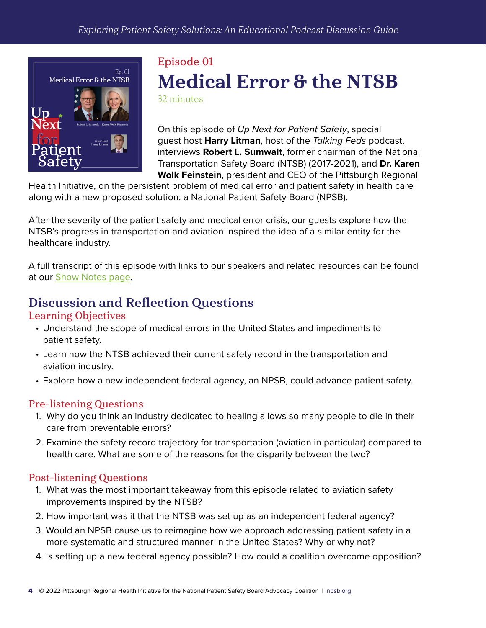<span id="page-3-0"></span>

# Episode 01 Medical Error & the NTSB

32 minutes

On this episode of *Up Next for Patient Safety*, special guest host **Harry Litman**, host of the *Talking Feds* podcast, interviews **Robert L. Sumwalt**, former chairman of the National Transportation Safety Board (NTSB) (2017-2021), and **Dr. Karen Wolk Feinstein**, president and CEO of the Pittsburgh Regional

Health Initiative, on the persistent problem of medical error and patient safety in health care along with a new proposed solution: a National Patient Safety Board (NPSB).

After the severity of the patient safety and medical error crisis, our guests explore how the NTSB's progress in transportation and aviation inspired the idea of a similar entity for the healthcare industry.

A full transcript of this episode with links to our speakers and related resources can be found at our [Show Notes](https://npsb.org/podcast/episode-01-medical-error-ntsb/) page.

## Discussion and Reflection Questions

#### Learning Objectives

- Understand the scope of medical errors in the United States and impediments to patient safety.
- Learn how the NTSB achieved their current safety record in the transportation and aviation industry.
- Explore how a new independent federal agency, an NPSB, could advance patient safety.

#### Pre-listening Questions

- 1. Why do you think an industry dedicated to healing allows so many people to die in their care from preventable errors?
- 2. Examine the safety record trajectory for transportation (aviation in particular) compared to health care. What are some of the reasons for the disparity between the two?

- 1. What was the most important takeaway from this episode related to aviation safety improvements inspired by the NTSB?
- 2. How important was it that the NTSB was set up as an independent federal agency?
- 3. Would an NPSB cause us to reimagine how we approach addressing patient safety in a more systematic and structured manner in the United States? Why or why not?
- 4. Is setting up a new federal agency possible? How could a coalition overcome opposition?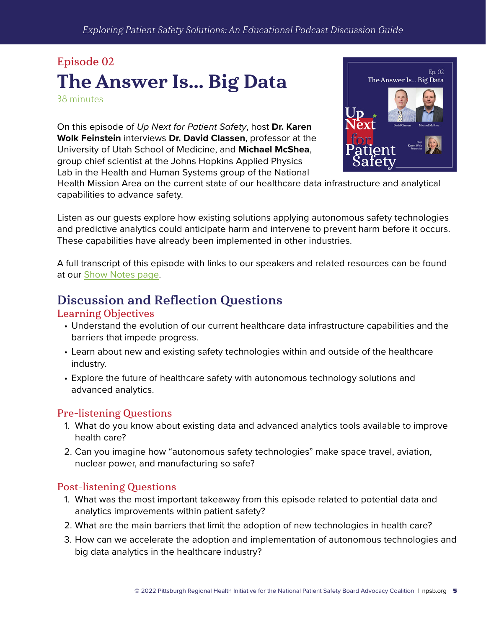# <span id="page-4-0"></span>Episode 02 The Answer Is... Big Data

38 minutes

On this episode of *Up Next for Patient Safety*, host **Dr. Karen Wolk Feinstein** interviews **Dr. David Classen**, professor at the University of Utah School of Medicine, and **Michael McShea**, group chief scientist at the Johns Hopkins Applied Physics Lab in the Health and Human Systems group of the National



Health Mission Area on the current state of our healthcare data infrastructure and analytical capabilities to advance safety.

Listen as our guests explore how existing solutions applying autonomous safety technologies and predictive analytics could anticipate harm and intervene to prevent harm before it occurs. These capabilities have already been implemented in other industries.

A full transcript of this episode with links to our speakers and related resources can be found at our [Show Notes](https://npsb.org/podcast/episode-02-the-answer-is-big-data/) page.

### Discussion and Reflection Questions

#### Learning Objectives

- Understand the evolution of our current healthcare data infrastructure capabilities and the barriers that impede progress.
- Learn about new and existing safety technologies within and outside of the healthcare industry.
- Explore the future of healthcare safety with autonomous technology solutions and advanced analytics.

#### Pre-listening Questions

- 1. What do you know about existing data and advanced analytics tools available to improve health care?
- 2. Can you imagine how "autonomous safety technologies" make space travel, aviation, nuclear power, and manufacturing so safe?

- 1. What was the most important takeaway from this episode related to potential data and analytics improvements within patient safety?
- 2. What are the main barriers that limit the adoption of new technologies in health care?
- 3. How can we accelerate the adoption and implementation of autonomous technologies and big data analytics in the healthcare industry?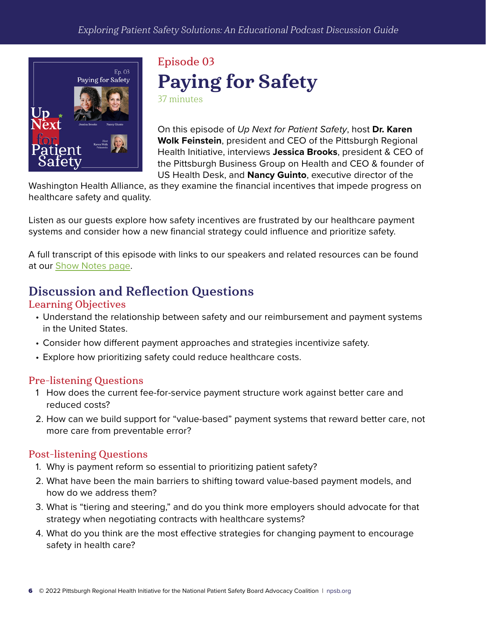<span id="page-5-0"></span>

# Episode 03 Paying for Safety 37 minutes

On this episode of *Up Next for Patient Safety*, host **Dr. Karen Wolk Feinstein**, president and CEO of the Pittsburgh Regional Health Initiative, interviews **Jessica Brooks**, president & CEO of the Pittsburgh Business Group on Health and CEO & founder of US Health Desk, and **Nancy Guinto**, executive director of the

Washington Health Alliance, as they examine the financial incentives that impede progress on healthcare safety and quality.

Listen as our guests explore how safety incentives are frustrated by our healthcare payment systems and consider how a new financial strategy could influence and prioritize safety.

A full transcript of this episode with links to our speakers and related resources can be found at our [Show Notes](https://npsb.org/podcast/episode-03-paying-for-safety/) page.

### Discussion and Reflection Questions

#### Learning Objectives

- Understand the relationship between safety and our reimbursement and payment systems in the United States.
- Consider how different payment approaches and strategies incentivize safety.
- Explore how prioritizing safety could reduce healthcare costs.

#### Pre-listening Questions

- 1 How does the current fee-for-service payment structure work against better care and reduced costs?
- 2. How can we build support for "value-based" payment systems that reward better care, not more care from preventable error?

- 1. Why is payment reform so essential to prioritizing patient safety?
- 2. What have been the main barriers to shifting toward value-based payment models, and how do we address them?
- 3. What is "tiering and steering," and do you think more employers should advocate for that strategy when negotiating contracts with healthcare systems?
- 4. What do you think are the most effective strategies for changing payment to encourage safety in health care?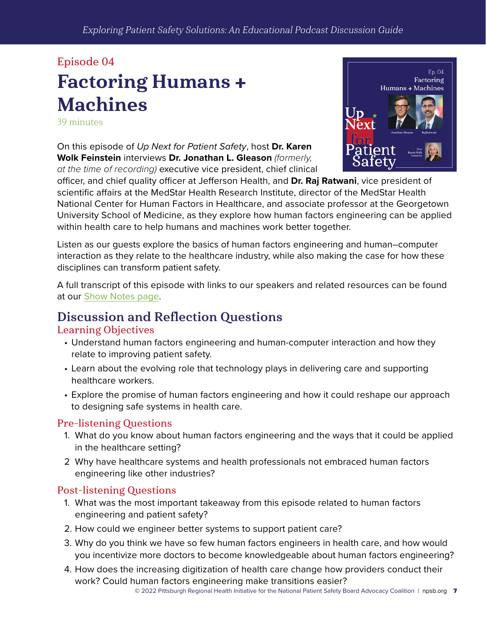# <span id="page-6-0"></span>Episode 04 Factoring Humans + Machines

39 minutes

On this episode of *Up Next for Patient Safety*, host **Dr. Karen Wolk Feinstein** interviews **Dr. Jonathan L. Gleason** *(formerly, at the time of recording)* executive vice president, chief clinical



officer, and chief quality officer at Jefferson Health, and **Dr. Raj Ratwani**, vice president of scientific affairs at the MedStar Health Research Institute, director of the MedStar Health National Center for Human Factors in Healthcare, and associate professor at the Georgetown University School of Medicine, as they explore how human factors engineering can be applied within health care to help humans and machines work better together.

Listen as our guests explore the basics of human factors engineering and human–computer interaction as they relate to the healthcare industry, while also making the case for how these disciplines can transform patient safety.

A full transcript of this episode with links to our speakers and related resources can be found at our [Show Notes](https://npsb.org/podcast/episode-04-factoring-humans-and-machines/) page.

### Discussion and Reflection Questions

#### Learning Objectives

- Understand human factors engineering and human-computer interaction and how they relate to improving patient safety.
- Learn about the evolving role that technology plays in delivering care and supporting healthcare workers.
- Explore the promise of human factors engineering and how it could reshape our approach to designing safe systems in health care.

#### Pre-listening Questions

- 1. What do you know about human factors engineering and the ways that it could be applied in the healthcare setting?
- 2 Why have healthcare systems and health professionals not embraced human factors engineering like other industries?

- 1. What was the most important takeaway from this episode related to human factors engineering and patient safety?
- 2. How could we engineer better systems to support patient care?
- 3. Why do you think we have so few human factors engineers in health care, and how would you incentivize more doctors to become knowledgeable about human factors engineering?
- 4. How does the increasing digitization of health care change how providers conduct their work? Could human factors engineering make transitions easier?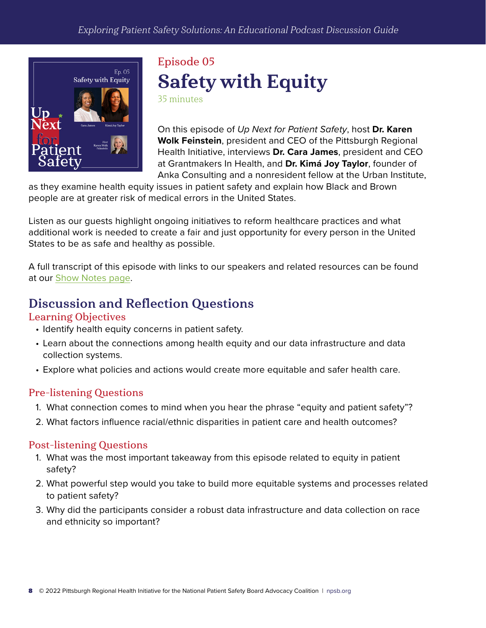<span id="page-7-0"></span>

## Episode 05 Safety with Equity 35 minutes

On this episode of *Up Next for Patient Safety*, host **Dr. Karen Wolk Feinstein**, president and CEO of the Pittsburgh Regional Health Initiative, interviews **Dr. Cara James**, president and CEO at Grantmakers In Health, and **Dr. Kimá Joy Taylor**, founder of Anka Consulting and a nonresident fellow at the Urban Institute,

as they examine health equity issues in patient safety and explain how Black and Brown people are at greater risk of medical errors in the United States.

Listen as our guests highlight ongoing initiatives to reform healthcare practices and what additional work is needed to create a fair and just opportunity for every person in the United States to be as safe and healthy as possible.

A full transcript of this episode with links to our speakers and related resources can be found at our [Show Notes](https://npsb.org/podcast/episode-05-safety-with-equity/) page.

### Discussion and Reflection Questions

#### Learning Objectives

- Identify health equity concerns in patient safety.
- Learn about the connections among health equity and our data infrastructure and data collection systems.
- Explore what policies and actions would create more equitable and safer health care.

#### Pre-listening Questions

- 1. What connection comes to mind when you hear the phrase "equity and patient safety"?
- 2. What factors influence racial/ethnic disparities in patient care and health outcomes?

- 1. What was the most important takeaway from this episode related to equity in patient safety?
- 2. What powerful step would you take to build more equitable systems and processes related to patient safety?
- 3. Why did the participants consider a robust data infrastructure and data collection on race and ethnicity so important?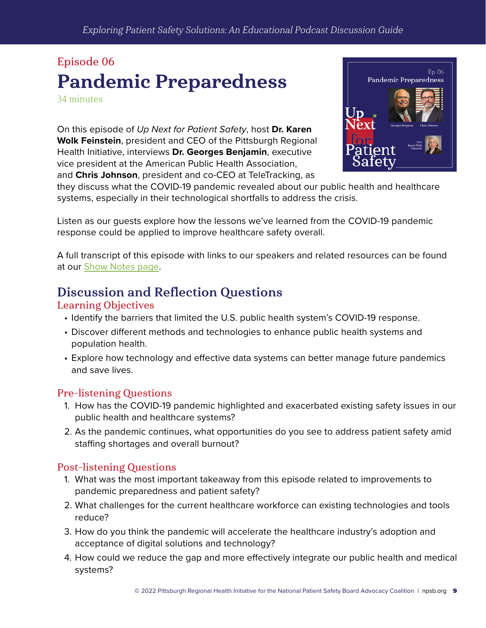# <span id="page-8-0"></span>Episode 06 Pandemic Preparedness

34 minutes

On this episode of *Up Next for Patient Safety*, host **Dr. Karen Wolk Feinstein**, president and CEO of the Pittsburgh Regional Health Initiative, interviews **Dr. Georges Benjamin**, executive vice president at the American Public Health Association, and **Chris Johnson**, president and co-CEO at TeleTracking, as



they discuss what the COVID-19 pandemic revealed about our public health and healthcare systems, especially in their technological shortfalls to address the crisis.

Listen as our guests explore how the lessons we've learned from the COVID-19 pandemic response could be applied to improve healthcare safety overall.

A full transcript of this episode with links to our speakers and related resources can be found at our [Show Notes](https://npsb.org/podcast/episode-06-pandemic-preparedness/) page.

### Discussion and Reflection Questions

#### Learning Objectives

- Identify the barriers that limited the U.S. public health system's COVID-19 response.
- Discover different methods and technologies to enhance public health systems and population health.
- Explore how technology and effective data systems can better manage future pandemics and save lives.

#### Pre-listening Questions

- 1. How has the COVID-19 pandemic highlighted and exacerbated existing safety issues in our public health and healthcare systems?
- 2. As the pandemic continues, what opportunities do you see to address patient safety amid staffing shortages and overall burnout?

- 1. What was the most important takeaway from this episode related to improvements to pandemic preparedness and patient safety?
- 2. What challenges for the current healthcare workforce can existing technologies and tools reduce?
- 3. How do you think the pandemic will accelerate the healthcare industry's adoption and acceptance of digital solutions and technology?
- 4. How could we reduce the gap and more effectively integrate our public health and medical systems?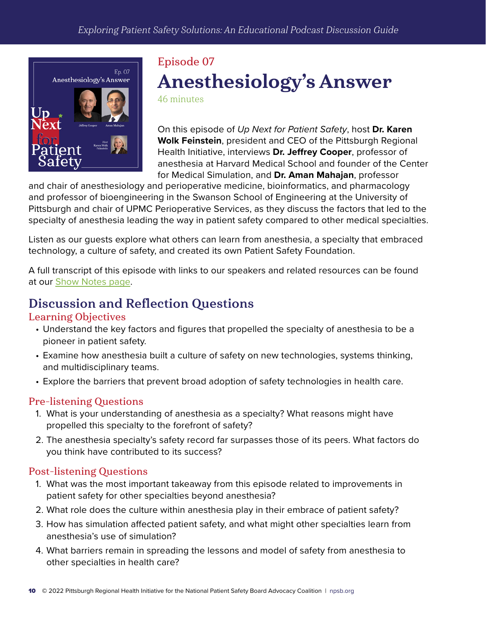<span id="page-9-0"></span>

# Episode 07 Anesthesiology's Answer

46 minutes

On this episode of *Up Next for Patient Safety*, host **Dr. Karen Wolk Feinstein**, president and CEO of the Pittsburgh Regional Health Initiative, interviews **Dr. Jeffrey Cooper**, professor of anesthesia at Harvard Medical School and founder of the Center for Medical Simulation, and **Dr. Aman Mahajan**, professor

and chair of anesthesiology and perioperative medicine, bioinformatics, and pharmacology and professor of bioengineering in the Swanson School of Engineering at the University of Pittsburgh and chair of UPMC Perioperative Services, as they discuss the factors that led to the specialty of anesthesia leading the way in patient safety compared to other medical specialties.

Listen as our guests explore what others can learn from anesthesia, a specialty that embraced technology, a culture of safety, and created its own Patient Safety Foundation.

A full transcript of this episode with links to our speakers and related resources can be found at our [Show Notes](https://npsb.org/podcast/episode-07-anesthesiologys-answer/) page.

### Discussion and Reflection Questions

#### Learning Objectives

- Understand the key factors and figures that propelled the specialty of anesthesia to be a pioneer in patient safety.
- Examine how anesthesia built a culture of safety on new technologies, systems thinking, and multidisciplinary teams.
- Explore the barriers that prevent broad adoption of safety technologies in health care.

#### Pre-listening Questions

- 1. What is your understanding of anesthesia as a specialty? What reasons might have propelled this specialty to the forefront of safety?
- 2. The anesthesia specialty's safety record far surpasses those of its peers. What factors do you think have contributed to its success?

- 1. What was the most important takeaway from this episode related to improvements in patient safety for other specialties beyond anesthesia?
- 2. What role does the culture within anesthesia play in their embrace of patient safety?
- 3. How has simulation affected patient safety, and what might other specialties learn from anesthesia's use of simulation?
- 4. What barriers remain in spreading the lessons and model of safety from anesthesia to other specialties in health care?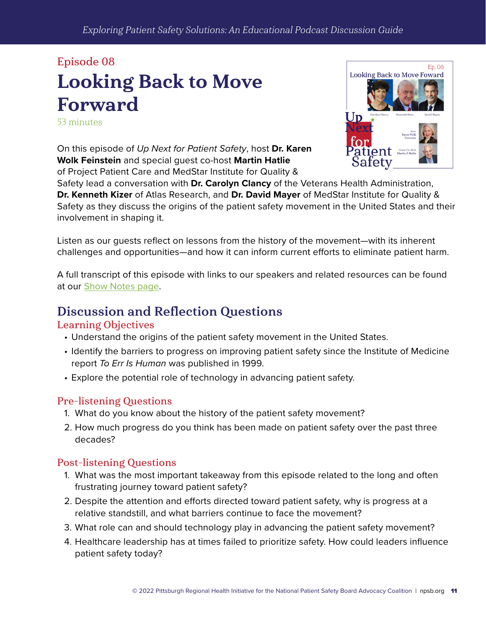# <span id="page-10-0"></span>Episode 08 Looking Back to Move Forward

53 minutes

On this episode of *Up Next for Patient Safety*, host **Dr. Karen Wolk Feinstein** and special guest co-host **Martin Hatlie** of Project Patient Care and MedStar Institute for Quality &



Safety lead a conversation with **Dr. Carolyn Clancy** of the Veterans Health Administration, **Dr. Kenneth Kizer** of Atlas Research, and **Dr. David Mayer** of MedStar Institute for Quality & Safety as they discuss the origins of the patient safety movement in the United States and their involvement in shaping it.

Listen as our guests reflect on lessons from the history of the movement—with its inherent challenges and opportunities—and how it can inform current efforts to eliminate patient harm.

A full transcript of this episode with links to our speakers and related resources can be found at our [Show Notes](https://npsb.org/podcast/episode-08-looking-back-to-move-forward/) page.

### Discussion and Reflection Questions

#### Learning Objectives

- Understand the origins of the patient safety movement in the United States.
- Identify the barriers to progress on improving patient safety since the Institute of Medicine report *To Err Is Human* was published in 1999.
- Explore the potential role of technology in advancing patient safety.

#### Pre-listening Questions

- 1. What do you know about the history of the patient safety movement?
- 2. How much progress do you think has been made on patient safety over the past three decades?

- 1. What was the most important takeaway from this episode related to the long and often frustrating journey toward patient safety?
- 2. Despite the attention and efforts directed toward patient safety, why is progress at a relative standstill, and what barriers continue to face the movement?
- 3. What role can and should technology play in advancing the patient safety movement?
- 4. Healthcare leadership has at times failed to prioritize safety. How could leaders influence patient safety today?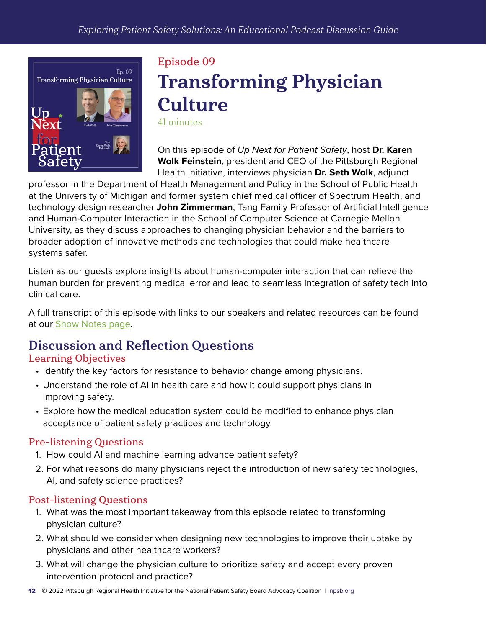<span id="page-11-0"></span>

# Episode 09 Transforming Physician **Culture** 41 minutes

On this episode of *Up Next for Patient Safety*, host **Dr. Karen Wolk Feinstein**, president and CEO of the Pittsburgh Regional Health Initiative, interviews physician **Dr. Seth Wolk**, adjunct

professor in the Department of Health Management and Policy in the School of Public Health at the University of Michigan and former system chief medical officer of Spectrum Health, and technology design researcher **John Zimmerman**, Tang Family Professor of Artificial Intelligence and Human-Computer Interaction in the School of Computer Science at Carnegie Mellon University, as they discuss approaches to changing physician behavior and the barriers to broader adoption of innovative methods and technologies that could make healthcare systems safer.

Listen as our guests explore insights about human-computer interaction that can relieve the human burden for preventing medical error and lead to seamless integration of safety tech into clinical care.

A full transcript of this episode with links to our speakers and related resources can be found at our [Show Notes](https://npsb.org/podcast/episode-09-transforming-physician-culture/) page.

## Discussion and Reflection Questions

#### Learning Objectives

- Identify the key factors for resistance to behavior change among physicians.
- Understand the role of AI in health care and how it could support physicians in improving safety.
- Explore how the medical education system could be modified to enhance physician acceptance of patient safety practices and technology.

#### Pre-listening Questions

- 1. How could AI and machine learning advance patient safety?
- 2. For what reasons do many physicians reject the introduction of new safety technologies, AI, and safety science practices?

- 1. What was the most important takeaway from this episode related to transforming physician culture?
- 2. What should we consider when designing new technologies to improve their uptake by physicians and other healthcare workers?
- 3. What will change the physician culture to prioritize safety and accept every proven intervention protocol and practice?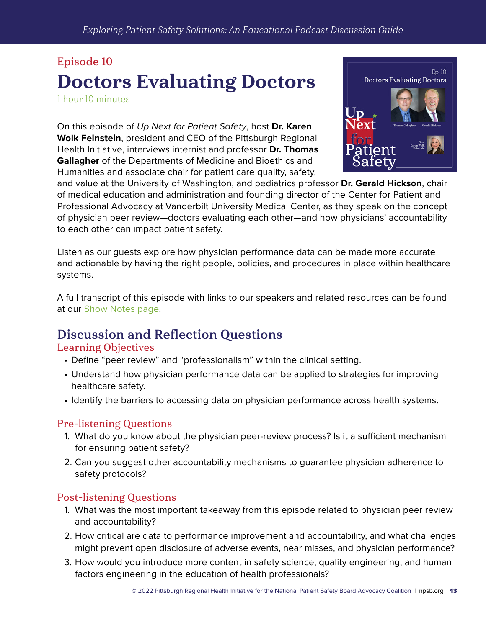# <span id="page-12-0"></span>Episode 10 Doctors Evaluating Doctors

1 hour 10 minutes

On this episode of *Up Next for Patient Safety*, host **Dr. Karen Wolk Feinstein**, president and CEO of the Pittsburgh Regional Health Initiative, interviews internist and professor **Dr. Thomas Gallagher** of the Departments of Medicine and Bioethics and Humanities and associate chair for patient care quality, safety,

![](_page_12_Picture_4.jpeg)

and value at the University of Washington, and pediatrics professor **Dr. Gerald Hickson**, chair of medical education and administration and founding director of the Center for Patient and Professional Advocacy at Vanderbilt University Medical Center, as they speak on the concept of physician peer review—doctors evaluating each other—and how physicians' accountability to each other can impact patient safety.

Listen as our guests explore how physician performance data can be made more accurate and actionable by having the right people, policies, and procedures in place within healthcare systems.

A full transcript of this episode with links to our speakers and related resources can be found at our [Show Notes](https://npsb.org/podcast/episode-10-doctors-evaluating-doctors/) page.

### Discussion and Reflection Questions

#### Learning Objectives

- Define "peer review" and "professionalism" within the clinical setting.
- Understand how physician performance data can be applied to strategies for improving healthcare safety.
- Identify the barriers to accessing data on physician performance across health systems.

#### Pre-listening Questions

- 1. What do you know about the physician peer-review process? Is it a sufficient mechanism for ensuring patient safety?
- 2. Can you suggest other accountability mechanisms to guarantee physician adherence to safety protocols?

- 1. What was the most important takeaway from this episode related to physician peer review and accountability?
- 2. How critical are data to performance improvement and accountability, and what challenges might prevent open disclosure of adverse events, near misses, and physician performance?
- 3. How would you introduce more content in safety science, quality engineering, and human factors engineering in the education of health professionals?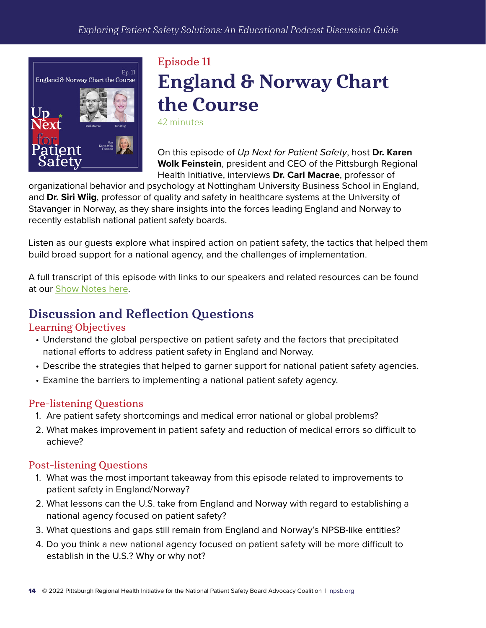<span id="page-13-0"></span>![](_page_13_Picture_1.jpeg)

# Episode 11 England & Norway Chart the Course

42 minutes

On this episode of *Up Next for Patient Safety*, host **Dr. Karen Wolk Feinstein**, president and CEO of the Pittsburgh Regional Health Initiative, interviews **Dr. Carl Macrae**, professor of

organizational behavior and psychology at Nottingham University Business School in England, and **Dr. Siri Wiig**, professor of quality and safety in healthcare systems at the University of Stavanger in Norway, as they share insights into the forces leading England and Norway to recently establish national patient safety boards.

Listen as our guests explore what inspired action on patient safety, the tactics that helped them build broad support for a national agency, and the challenges of implementation.

A full transcript of this episode with links to our speakers and related resources can be found at our [Show Notes here.](https://npsb.org/podcast/episode-11-england-norway-chart-the-course/)

## Discussion and Reflection Questions

#### Learning Objectives

- Understand the global perspective on patient safety and the factors that precipitated national efforts to address patient safety in England and Norway.
- Describe the strategies that helped to garner support for national patient safety agencies.
- Examine the barriers to implementing a national patient safety agency.

#### Pre-listening Questions

- 1. Are patient safety shortcomings and medical error national or global problems?
- 2. What makes improvement in patient safety and reduction of medical errors so difficult to achieve?

- 1. What was the most important takeaway from this episode related to improvements to patient safety in England/Norway?
- 2. What lessons can the U.S. take from England and Norway with regard to establishing a national agency focused on patient safety?
- 3. What questions and gaps still remain from England and Norway's NPSB-like entities?
- 4. Do you think a new national agency focused on patient safety will be more difficult to establish in the U.S.? Why or why not?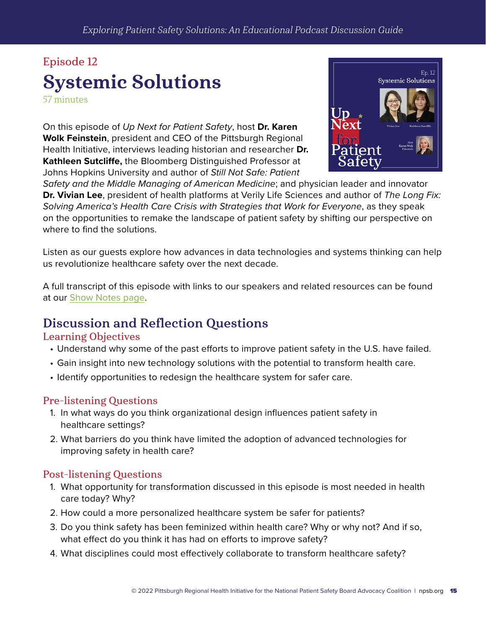# <span id="page-14-0"></span>Episode 12 Systemic Solutions

57 minutes

On this episode of *Up Next for Patient Safety*, host **Dr. Karen Wolk Feinstein**, president and CEO of the Pittsburgh Regional Health Initiative, interviews leading historian and researcher **Dr. Kathleen Sutcliffe,** the Bloomberg Distinguished Professor at Johns Hopkins University and author of *Still Not Safe: Patient* 

![](_page_14_Picture_4.jpeg)

*Safety and the Middle Managing of American Medicine*; and physician leader and innovator **Dr. Vivian Lee**, president of health platforms at Verily Life Sciences and author of *The Long Fix: Solving America's Health Care Crisis with Strategies that Work for Everyone*, as they speak on the opportunities to remake the landscape of patient safety by shifting our perspective on where to find the solutions.

Listen as our guests explore how advances in data technologies and systems thinking can help us revolutionize healthcare safety over the next decade.

A full transcript of this episode with links to our speakers and related resources can be found at our [Show Notes](https://npsb.org/podcast/episode-12-systemic-solutions/) page.

### Discussion and Reflection Questions

#### Learning Objectives

- Understand why some of the past efforts to improve patient safety in the U.S. have failed.
- Gain insight into new technology solutions with the potential to transform health care.
- Identify opportunities to redesign the healthcare system for safer care.

#### Pre-listening Questions

- 1. In what ways do you think organizational design influences patient safety in healthcare settings?
- 2. What barriers do you think have limited the adoption of advanced technologies for improving safety in health care?

- 1. What opportunity for transformation discussed in this episode is most needed in health care today? Why?
- 2. How could a more personalized healthcare system be safer for patients?
- 3. Do you think safety has been feminized within health care? Why or why not? And if so, what effect do you think it has had on efforts to improve safety?
- 4. What disciplines could most effectively collaborate to transform healthcare safety?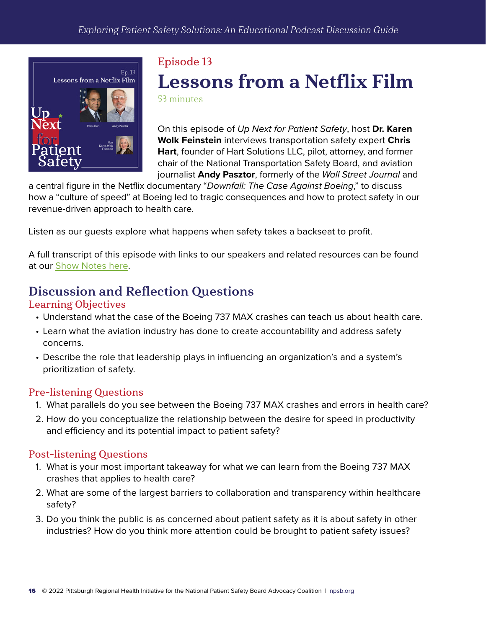<span id="page-15-0"></span>![](_page_15_Picture_1.jpeg)

# Episode 13 Lessons from a Netflix Film

53 minutes

On this episode of *Up Next for Patient Safety*, host **Dr. Karen Wolk Feinstein** interviews transportation safety expert **Chris Hart**, founder of Hart Solutions LLC, pilot, attorney, and former chair of the National Transportation Safety Board, and aviation journalist **Andy Pasztor**, formerly of the *Wall Street Journal* and

a central figure in the Netflix documentary "*Downfall: The Case Against Boeing*," to discuss how a "culture of speed" at Boeing led to tragic consequences and how to protect safety in our revenue-driven approach to health care.

Listen as our guests explore what happens when safety takes a backseat to profit.

A full transcript of this episode with links to our speakers and related resources can be found at our [Show Notes here.](https://npsb.org/podcast/episode-13-lessons-from-a-netflix-film/)

### Discussion and Reflection Questions

#### Learning Objectives

- Understand what the case of the Boeing 737 MAX crashes can teach us about health care.
- Learn what the aviation industry has done to create accountability and address safety concerns.
- Describe the role that leadership plays in influencing an organization's and a system's prioritization of safety.

#### Pre-listening Questions

- 1. What parallels do you see between the Boeing 737 MAX crashes and errors in health care?
- 2. How do you conceptualize the relationship between the desire for speed in productivity and efficiency and its potential impact to patient safety?

- 1. What is your most important takeaway for what we can learn from the Boeing 737 MAX crashes that applies to health care?
- 2. What are some of the largest barriers to collaboration and transparency within healthcare safety?
- 3. Do you think the public is as concerned about patient safety as it is about safety in other industries? How do you think more attention could be brought to patient safety issues?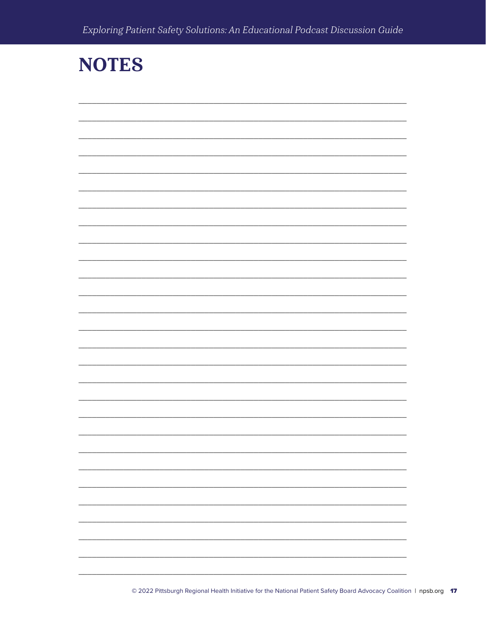# **NOTES**

| L, |
|----|
|    |
|    |
|    |
|    |
|    |
|    |
|    |
|    |
|    |
|    |
|    |
| ÷, |
|    |
|    |